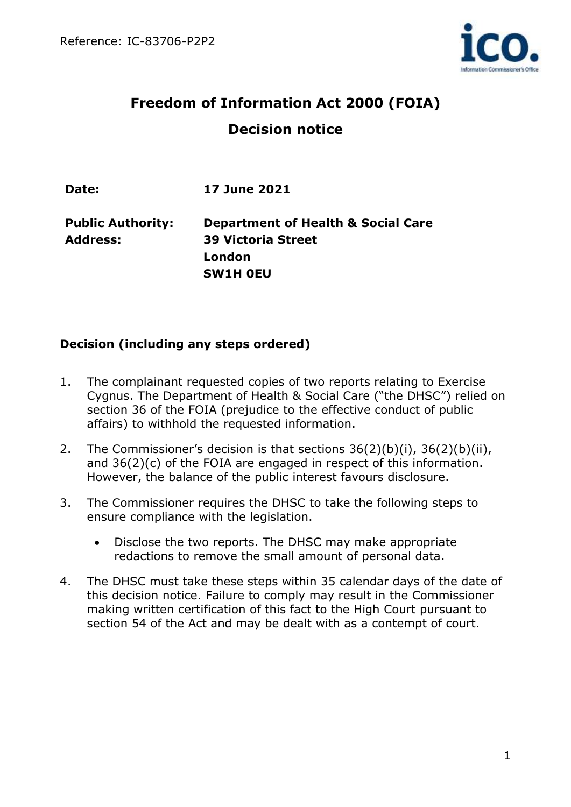

# **Freedom of Information Act 2000 (FOIA) Decision notice**

| Date:                                       | <b>17 June 2021</b>                                                        |
|---------------------------------------------|----------------------------------------------------------------------------|
| <b>Public Authority:</b><br><b>Address:</b> | <b>Department of Health &amp; Social Care</b><br><b>39 Victoria Street</b> |
|                                             | London                                                                     |
|                                             | <b>SW1H OEU</b>                                                            |

## **Decision (including any steps ordered)**

- 1. The complainant requested copies of two reports relating to Exercise Cygnus. The Department of Health & Social Care ("the DHSC") relied on section 36 of the FOIA (prejudice to the effective conduct of public affairs) to withhold the requested information.
- 2. The Commissioner's decision is that sections 36(2)(b)(i), 36(2)(b)(ii), and 36(2)(c) of the FOIA are engaged in respect of this information. However, the balance of the public interest favours disclosure.
- 3. The Commissioner requires the DHSC to take the following steps to ensure compliance with the legislation.
	- Disclose the two reports. The DHSC may make appropriate redactions to remove the small amount of personal data.
- 4. The DHSC must take these steps within 35 calendar days of the date of this decision notice. Failure to comply may result in the Commissioner making written certification of this fact to the High Court pursuant to section 54 of the Act and may be dealt with as a contempt of court.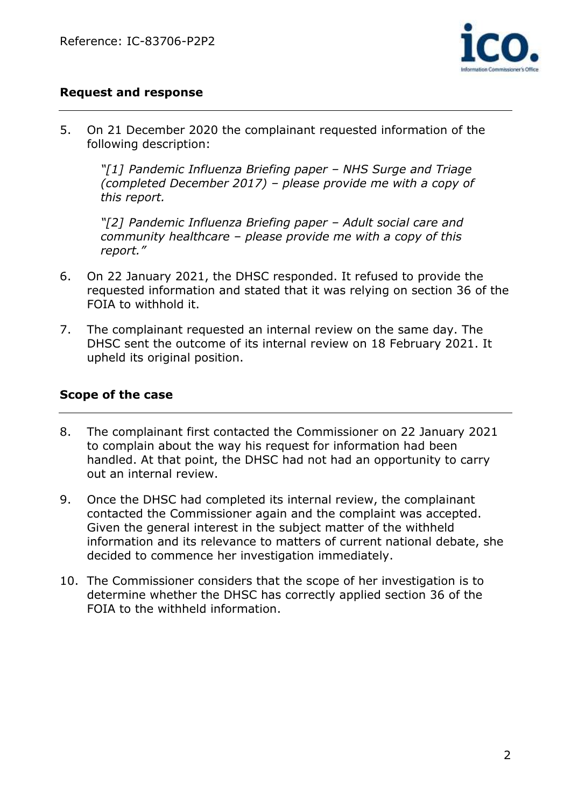

### **Request and response**

5. On 21 December 2020 the complainant requested information of the following description:

*"[1] Pandemic Influenza Briefing paper – NHS Surge and Triage (completed December 2017) – please provide me with a copy of this report.*

*"[2] Pandemic Influenza Briefing paper – Adult social care and community healthcare – please provide me with a copy of this report."*

- 6. On 22 January 2021, the DHSC responded. It refused to provide the requested information and stated that it was relying on section 36 of the FOIA to withhold it.
- 7. The complainant requested an internal review on the same day. The DHSC sent the outcome of its internal review on 18 February 2021. It upheld its original position.

#### **Scope of the case**

- 8. The complainant first contacted the Commissioner on 22 January 2021 to complain about the way his request for information had been handled. At that point, the DHSC had not had an opportunity to carry out an internal review.
- 9. Once the DHSC had completed its internal review, the complainant contacted the Commissioner again and the complaint was accepted. Given the general interest in the subject matter of the withheld information and its relevance to matters of current national debate, she decided to commence her investigation immediately.
- 10. The Commissioner considers that the scope of her investigation is to determine whether the DHSC has correctly applied section 36 of the FOIA to the withheld information.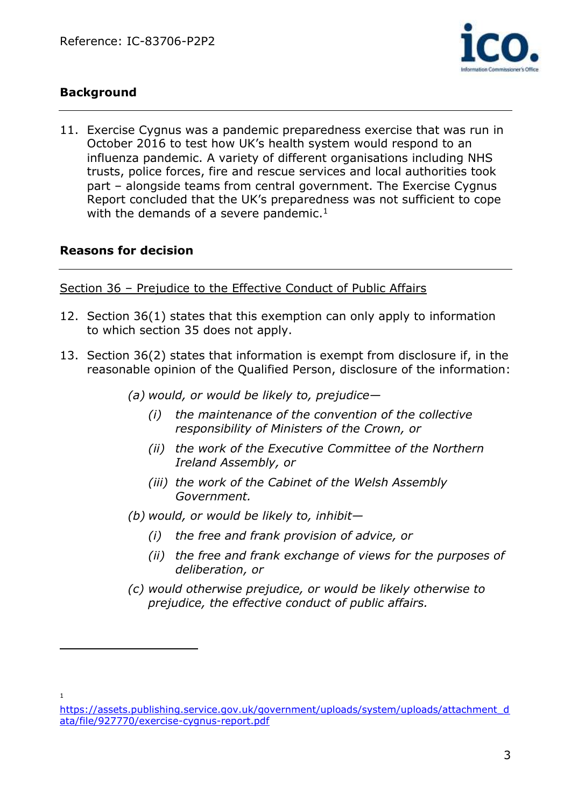

# **Background**

11. Exercise Cygnus was a pandemic preparedness exercise that was run in October 2016 to test how UK's health system would respond to an influenza pandemic. A variety of different organisations including NHS trusts, police forces, fire and rescue services and local authorities took part – alongside teams from central government. The Exercise Cygnus Report concluded that the UK's preparedness was not sufficient to cope with the demands of a severe pandemic. $1$ 

#### **Reasons for decision**

Section 36 – Prejudice to the Effective Conduct of Public Affairs

- 12. Section 36(1) states that this exemption can only apply to information to which section 35 does not apply.
- 13. Section 36(2) states that information is exempt from disclosure if, in the reasonable opinion of the Qualified Person, disclosure of the information:
	- *(a) would, or would be likely to, prejudice—*
		- *(i) the maintenance of the convention of the collective responsibility of Ministers of the Crown, or*
		- *(ii) the work of the Executive Committee of the Northern Ireland Assembly, or*
		- *(iii) the work of the Cabinet of the Welsh Assembly Government.*
	- *(b) would, or would be likely to, inhibit—*
		- *(i) the free and frank provision of advice, or*
		- *(ii) the free and frank exchange of views for the purposes of deliberation, or*
	- *(c) would otherwise prejudice, or would be likely otherwise to prejudice, the effective conduct of public affairs.*

1

[https://assets.publishing.service.gov.uk/government/uploads/system/uploads/attachment\\_d](https://assets.publishing.service.gov.uk/government/uploads/system/uploads/attachment_data/file/927770/exercise-cygnus-report.pdf) [ata/file/927770/exercise-cygnus-report.pdf](https://assets.publishing.service.gov.uk/government/uploads/system/uploads/attachment_data/file/927770/exercise-cygnus-report.pdf)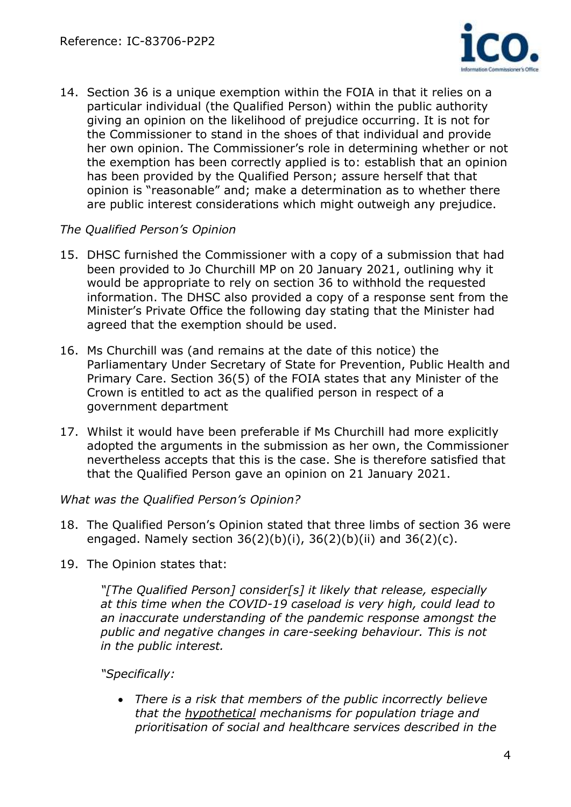

14. Section 36 is a unique exemption within the FOIA in that it relies on a particular individual (the Qualified Person) within the public authority giving an opinion on the likelihood of prejudice occurring. It is not for the Commissioner to stand in the shoes of that individual and provide her own opinion. The Commissioner's role in determining whether or not the exemption has been correctly applied is to: establish that an opinion has been provided by the Qualified Person; assure herself that that opinion is "reasonable" and; make a determination as to whether there are public interest considerations which might outweigh any prejudice.

## *The Qualified Person's Opinion*

- 15. DHSC furnished the Commissioner with a copy of a submission that had been provided to Jo Churchill MP on 20 January 2021, outlining why it would be appropriate to rely on section 36 to withhold the requested information. The DHSC also provided a copy of a response sent from the Minister's Private Office the following day stating that the Minister had agreed that the exemption should be used.
- 16. Ms Churchill was (and remains at the date of this notice) the Parliamentary Under Secretary of State for Prevention, Public Health and Primary Care. Section 36(5) of the FOIA states that any Minister of the Crown is entitled to act as the qualified person in respect of a government department
- 17. Whilst it would have been preferable if Ms Churchill had more explicitly adopted the arguments in the submission as her own, the Commissioner nevertheless accepts that this is the case. She is therefore satisfied that that the Qualified Person gave an opinion on 21 January 2021.

#### *What was the Qualified Person's Opinion?*

- 18. The Qualified Person's Opinion stated that three limbs of section 36 were engaged. Namely section  $36(2)(b)(i)$ ,  $36(2)(b)(ii)$  and  $36(2)(c)$ .
- 19. The Opinion states that:

*"[The Qualified Person] consider[s] it likely that release, especially at this time when the COVID-19 caseload is very high, could lead to an inaccurate understanding of the pandemic response amongst the public and negative changes in care-seeking behaviour. This is not in the public interest.*

#### *"Specifically:*

• *There is a risk that members of the public incorrectly believe that the hypothetical mechanisms for population triage and prioritisation of social and healthcare services described in the*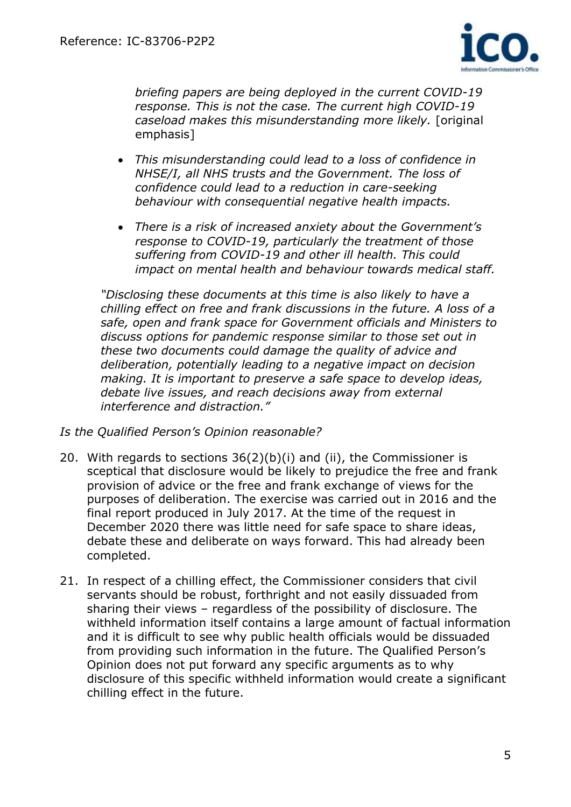

*briefing papers are being deployed in the current COVID-19 response. This is not the case. The current high COVID-19 caseload makes this misunderstanding more likely.* [original emphasis]

- *This misunderstanding could lead to a loss of confidence in NHSE/I, all NHS trusts and the Government. The loss of confidence could lead to a reduction in care-seeking behaviour with consequential negative health impacts.*
- *There is a risk of increased anxiety about the Government's response to COVID-19, particularly the treatment of those suffering from COVID-19 and other ill health. This could impact on mental health and behaviour towards medical staff.*

*"Disclosing these documents at this time is also likely to have a chilling effect on free and frank discussions in the future. A loss of a safe, open and frank space for Government officials and Ministers to discuss options for pandemic response similar to those set out in these two documents could damage the quality of advice and deliberation, potentially leading to a negative impact on decision making. It is important to preserve a safe space to develop ideas, debate live issues, and reach decisions away from external interference and distraction."*

#### *Is the Qualified Person's Opinion reasonable?*

- 20. With regards to sections  $36(2)(b)(i)$  and (ii), the Commissioner is sceptical that disclosure would be likely to prejudice the free and frank provision of advice or the free and frank exchange of views for the purposes of deliberation. The exercise was carried out in 2016 and the final report produced in July 2017. At the time of the request in December 2020 there was little need for safe space to share ideas, debate these and deliberate on ways forward. This had already been completed.
- 21. In respect of a chilling effect, the Commissioner considers that civil servants should be robust, forthright and not easily dissuaded from sharing their views – regardless of the possibility of disclosure. The withheld information itself contains a large amount of factual information and it is difficult to see why public health officials would be dissuaded from providing such information in the future. The Qualified Person's Opinion does not put forward any specific arguments as to why disclosure of this specific withheld information would create a significant chilling effect in the future.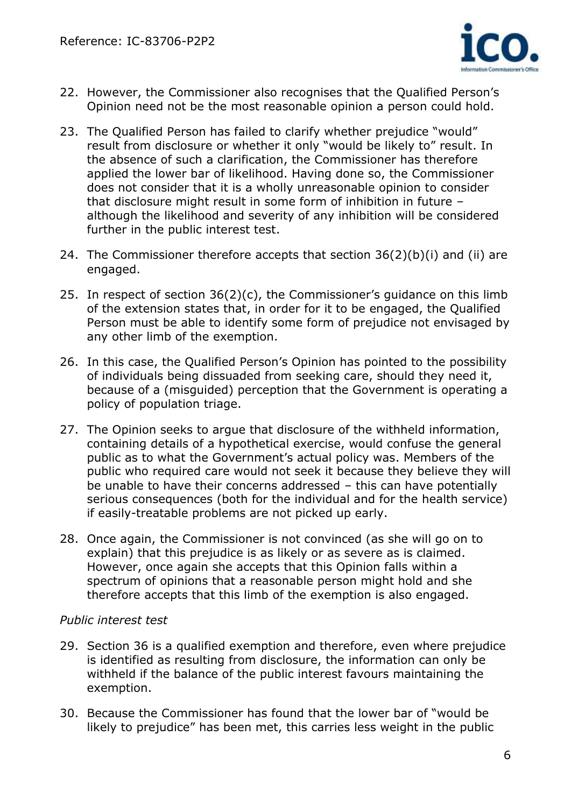

- 22. However, the Commissioner also recognises that the Qualified Person's Opinion need not be the most reasonable opinion a person could hold.
- 23. The Qualified Person has failed to clarify whether prejudice "would" result from disclosure or whether it only "would be likely to" result. In the absence of such a clarification, the Commissioner has therefore applied the lower bar of likelihood. Having done so, the Commissioner does not consider that it is a wholly unreasonable opinion to consider that disclosure might result in some form of inhibition in future – although the likelihood and severity of any inhibition will be considered further in the public interest test.
- 24. The Commissioner therefore accepts that section 36(2)(b)(i) and (ii) are engaged.
- 25. In respect of section 36(2)(c), the Commissioner's guidance on this limb of the extension states that, in order for it to be engaged, the Qualified Person must be able to identify some form of prejudice not envisaged by any other limb of the exemption.
- 26. In this case, the Qualified Person's Opinion has pointed to the possibility of individuals being dissuaded from seeking care, should they need it, because of a (misguided) perception that the Government is operating a policy of population triage.
- 27. The Opinion seeks to argue that disclosure of the withheld information, containing details of a hypothetical exercise, would confuse the general public as to what the Government's actual policy was. Members of the public who required care would not seek it because they believe they will be unable to have their concerns addressed – this can have potentially serious consequences (both for the individual and for the health service) if easily-treatable problems are not picked up early.
- 28. Once again, the Commissioner is not convinced (as she will go on to explain) that this prejudice is as likely or as severe as is claimed. However, once again she accepts that this Opinion falls within a spectrum of opinions that a reasonable person might hold and she therefore accepts that this limb of the exemption is also engaged.

## *Public interest test*

- 29. Section 36 is a qualified exemption and therefore, even where prejudice is identified as resulting from disclosure, the information can only be withheld if the balance of the public interest favours maintaining the exemption.
- 30. Because the Commissioner has found that the lower bar of "would be likely to prejudice" has been met, this carries less weight in the public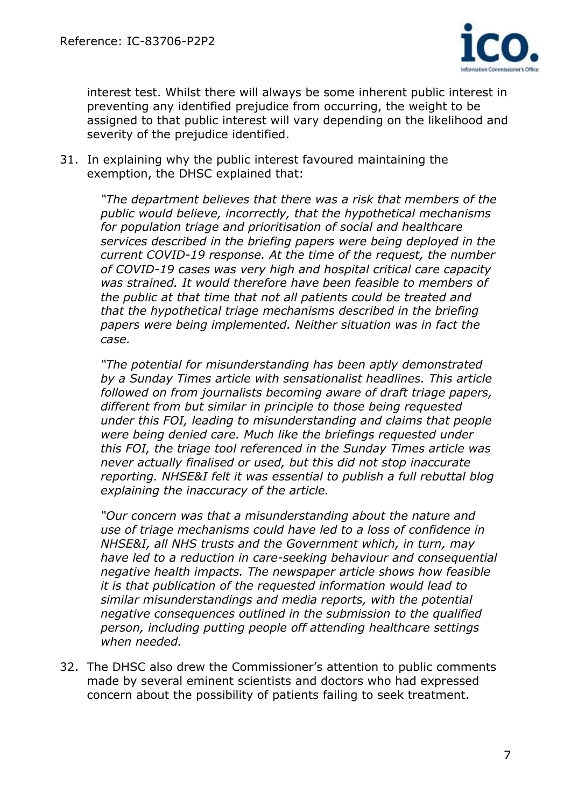

interest test. Whilst there will always be some inherent public interest in preventing any identified prejudice from occurring, the weight to be assigned to that public interest will vary depending on the likelihood and severity of the prejudice identified.

31. In explaining why the public interest favoured maintaining the exemption, the DHSC explained that:

> *"The department believes that there was a risk that members of the public would believe, incorrectly, that the hypothetical mechanisms for population triage and prioritisation of social and healthcare services described in the briefing papers were being deployed in the current COVID-19 response. At the time of the request, the number of COVID-19 cases was very high and hospital critical care capacity was strained. It would therefore have been feasible to members of the public at that time that not all patients could be treated and that the hypothetical triage mechanisms described in the briefing papers were being implemented. Neither situation was in fact the case.*

> *"The potential for misunderstanding has been aptly demonstrated by a Sunday Times article with sensationalist headlines. This article followed on from journalists becoming aware of draft triage papers, different from but similar in principle to those being requested under this FOI, leading to misunderstanding and claims that people were being denied care. Much like the briefings requested under this FOI, the triage tool referenced in the Sunday Times article was never actually finalised or used, but this did not stop inaccurate reporting. NHSE&I felt it was essential to publish a full rebuttal blog explaining the inaccuracy of the article.*

> *"Our concern was that a misunderstanding about the nature and use of triage mechanisms could have led to a loss of confidence in NHSE&I, all NHS trusts and the Government which, in turn, may have led to a reduction in care-seeking behaviour and consequential negative health impacts. The newspaper article shows how feasible it is that publication of the requested information would lead to similar misunderstandings and media reports, with the potential negative consequences outlined in the submission to the qualified person, including putting people off attending healthcare settings when needed.*

32. The DHSC also drew the Commissioner's attention to public comments made by several eminent scientists and doctors who had expressed concern about the possibility of patients failing to seek treatment.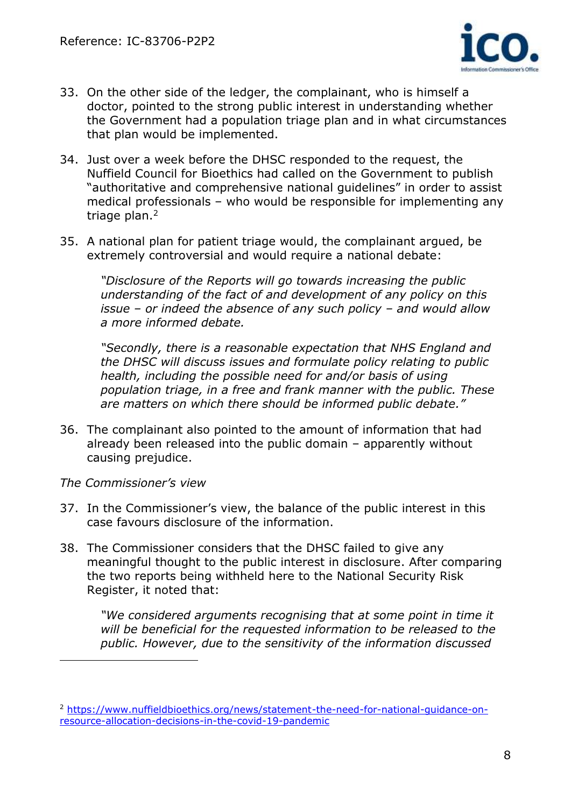

- 33. On the other side of the ledger, the complainant, who is himself a doctor, pointed to the strong public interest in understanding whether the Government had a population triage plan and in what circumstances that plan would be implemented.
- 34. Just over a week before the DHSC responded to the request, the Nuffield Council for Bioethics had called on the Government to publish "authoritative and comprehensive national guidelines" in order to assist medical professionals – who would be responsible for implementing any triage plan.<sup>2</sup>
- 35. A national plan for patient triage would, the complainant argued, be extremely controversial and would require a national debate:

*"Disclosure of the Reports will go towards increasing the public understanding of the fact of and development of any policy on this issue – or indeed the absence of any such policy – and would allow a more informed debate.* 

*"Secondly, there is a reasonable expectation that NHS England and the DHSC will discuss issues and formulate policy relating to public health, including the possible need for and/or basis of using population triage, in a free and frank manner with the public. These are matters on which there should be informed public debate."*

- 36. The complainant also pointed to the amount of information that had already been released into the public domain – apparently without causing prejudice.
- *The Commissioner's view*
- 37. In the Commissioner's view, the balance of the public interest in this case favours disclosure of the information.
- 38. The Commissioner considers that the DHSC failed to give any meaningful thought to the public interest in disclosure. After comparing the two reports being withheld here to the National Security Risk Register, it noted that:

*"We considered arguments recognising that at some point in time it will be beneficial for the requested information to be released to the public. However, due to the sensitivity of the information discussed* 

<sup>2</sup> [https://www.nuffieldbioethics.org/news/statement-the-need-for-national-guidance-on](https://www.nuffieldbioethics.org/news/statement-the-need-for-national-guidance-on-resource-allocation-decisions-in-the-covid-19-pandemic)[resource-allocation-decisions-in-the-covid-19-pandemic](https://www.nuffieldbioethics.org/news/statement-the-need-for-national-guidance-on-resource-allocation-decisions-in-the-covid-19-pandemic)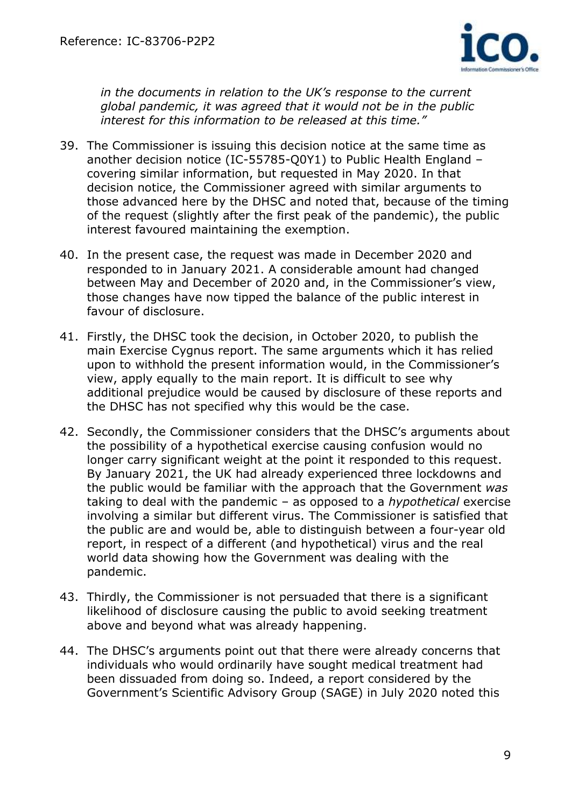

*in the documents in relation to the UK's response to the current global pandemic, it was agreed that it would not be in the public interest for this information to be released at this time."*

- 39. The Commissioner is issuing this decision notice at the same time as another decision notice (IC-55785-Q0Y1) to Public Health England – covering similar information, but requested in May 2020. In that decision notice, the Commissioner agreed with similar arguments to those advanced here by the DHSC and noted that, because of the timing of the request (slightly after the first peak of the pandemic), the public interest favoured maintaining the exemption.
- 40. In the present case, the request was made in December 2020 and responded to in January 2021. A considerable amount had changed between May and December of 2020 and, in the Commissioner's view, those changes have now tipped the balance of the public interest in favour of disclosure.
- 41. Firstly, the DHSC took the decision, in October 2020, to publish the main Exercise Cygnus report. The same arguments which it has relied upon to withhold the present information would, in the Commissioner's view, apply equally to the main report. It is difficult to see why additional prejudice would be caused by disclosure of these reports and the DHSC has not specified why this would be the case.
- 42. Secondly, the Commissioner considers that the DHSC's arguments about the possibility of a hypothetical exercise causing confusion would no longer carry significant weight at the point it responded to this request. By January 2021, the UK had already experienced three lockdowns and the public would be familiar with the approach that the Government *was* taking to deal with the pandemic – as opposed to a *hypothetical* exercise involving a similar but different virus. The Commissioner is satisfied that the public are and would be, able to distinguish between a four-year old report, in respect of a different (and hypothetical) virus and the real world data showing how the Government was dealing with the pandemic.
- 43. Thirdly, the Commissioner is not persuaded that there is a significant likelihood of disclosure causing the public to avoid seeking treatment above and beyond what was already happening.
- 44. The DHSC's arguments point out that there were already concerns that individuals who would ordinarily have sought medical treatment had been dissuaded from doing so. Indeed, a report considered by the Government's Scientific Advisory Group (SAGE) in July 2020 noted this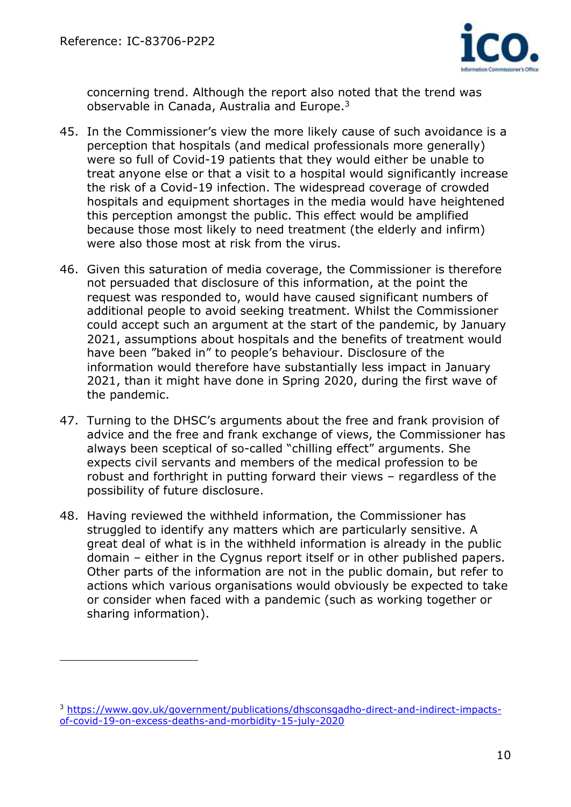

concerning trend. Although the report also noted that the trend was observable in Canada, Australia and Europe.<sup>3</sup>

- 45. In the Commissioner's view the more likely cause of such avoidance is a perception that hospitals (and medical professionals more generally) were so full of Covid-19 patients that they would either be unable to treat anyone else or that a visit to a hospital would significantly increase the risk of a Covid-19 infection. The widespread coverage of crowded hospitals and equipment shortages in the media would have heightened this perception amongst the public. This effect would be amplified because those most likely to need treatment (the elderly and infirm) were also those most at risk from the virus.
- 46. Given this saturation of media coverage, the Commissioner is therefore not persuaded that disclosure of this information, at the point the request was responded to, would have caused significant numbers of additional people to avoid seeking treatment. Whilst the Commissioner could accept such an argument at the start of the pandemic, by January 2021, assumptions about hospitals and the benefits of treatment would have been "baked in" to people's behaviour. Disclosure of the information would therefore have substantially less impact in January 2021, than it might have done in Spring 2020, during the first wave of the pandemic.
- 47. Turning to the DHSC's arguments about the free and frank provision of advice and the free and frank exchange of views, the Commissioner has always been sceptical of so-called "chilling effect" arguments. She expects civil servants and members of the medical profession to be robust and forthright in putting forward their views – regardless of the possibility of future disclosure.
- 48. Having reviewed the withheld information, the Commissioner has struggled to identify any matters which are particularly sensitive. A great deal of what is in the withheld information is already in the public domain – either in the Cygnus report itself or in other published papers. Other parts of the information are not in the public domain, but refer to actions which various organisations would obviously be expected to take or consider when faced with a pandemic (such as working together or sharing information).

<sup>3</sup> [https://www.gov.uk/government/publications/dhsconsgadho-direct-and-indirect-impacts](https://www.gov.uk/government/publications/dhsconsgadho-direct-and-indirect-impacts-of-covid-19-on-excess-deaths-and-morbidity-15-july-2020)[of-covid-19-on-excess-deaths-and-morbidity-15-july-2020](https://www.gov.uk/government/publications/dhsconsgadho-direct-and-indirect-impacts-of-covid-19-on-excess-deaths-and-morbidity-15-july-2020)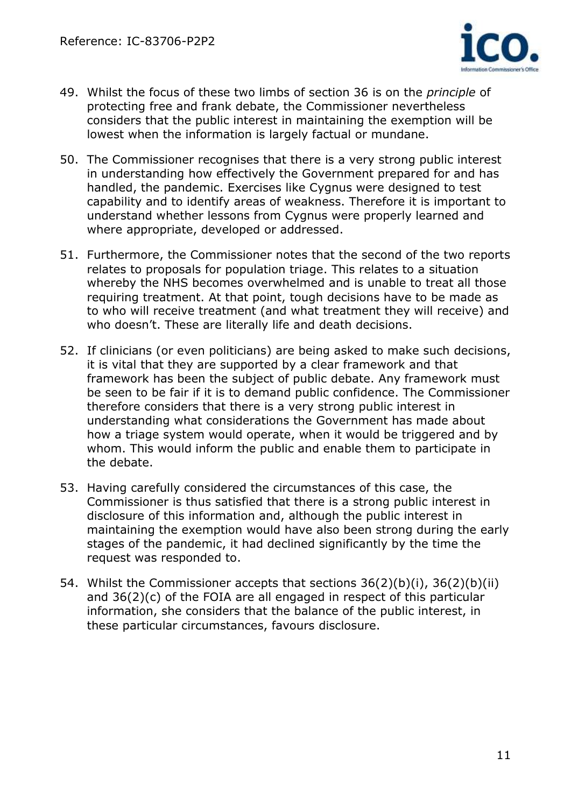

- 49. Whilst the focus of these two limbs of section 36 is on the *principle* of protecting free and frank debate, the Commissioner nevertheless considers that the public interest in maintaining the exemption will be lowest when the information is largely factual or mundane.
- 50. The Commissioner recognises that there is a very strong public interest in understanding how effectively the Government prepared for and has handled, the pandemic. Exercises like Cygnus were designed to test capability and to identify areas of weakness. Therefore it is important to understand whether lessons from Cygnus were properly learned and where appropriate, developed or addressed.
- 51. Furthermore, the Commissioner notes that the second of the two reports relates to proposals for population triage. This relates to a situation whereby the NHS becomes overwhelmed and is unable to treat all those requiring treatment. At that point, tough decisions have to be made as to who will receive treatment (and what treatment they will receive) and who doesn't. These are literally life and death decisions.
- 52. If clinicians (or even politicians) are being asked to make such decisions, it is vital that they are supported by a clear framework and that framework has been the subject of public debate. Any framework must be seen to be fair if it is to demand public confidence. The Commissioner therefore considers that there is a very strong public interest in understanding what considerations the Government has made about how a triage system would operate, when it would be triggered and by whom. This would inform the public and enable them to participate in the debate.
- 53. Having carefully considered the circumstances of this case, the Commissioner is thus satisfied that there is a strong public interest in disclosure of this information and, although the public interest in maintaining the exemption would have also been strong during the early stages of the pandemic, it had declined significantly by the time the request was responded to.
- 54. Whilst the Commissioner accepts that sections 36(2)(b)(i), 36(2)(b)(ii) and 36(2)(c) of the FOIA are all engaged in respect of this particular information, she considers that the balance of the public interest, in these particular circumstances, favours disclosure.